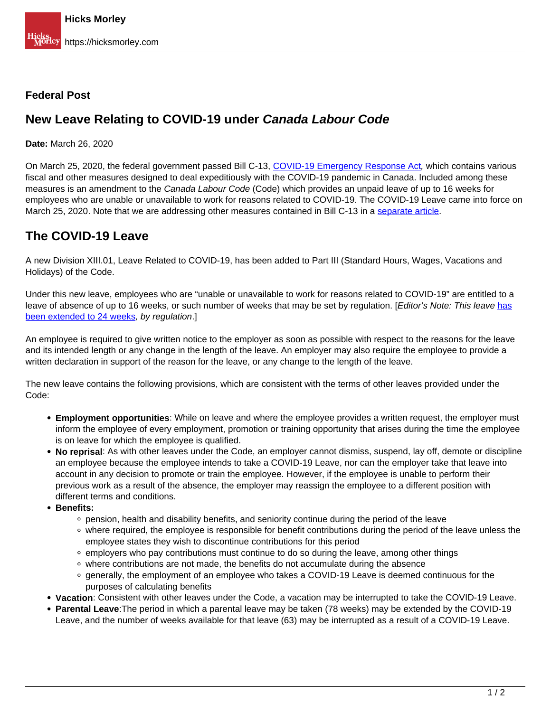#### **Federal Post**

# **New Leave Relating to COVID-19 under Canada Labour Code**

**Date:** March 26, 2020

On March 25, 2020, the federal government passed Bill C-13, [COVID-19 Emergency Response Act](https://www.parl.ca/DocumentViewer/en/43-1/bill/C-13/royal-assent?fbclid=IwAR1AAl60bx3Q4-5Ap2qBD-Q_fY25EESDLYkQ_YJnk2gvMYVZIs9gbf0jcJE#ID0E0KB0AA), which contains various fiscal and other measures designed to deal expeditiously with the COVID-19 pandemic in Canada. Included among these measures is an amendment to the Canada Labour Code (Code) which provides an unpaid leave of up to 16 weeks for employees who are unable or unavailable to work for reasons related to COVID-19. The COVID-19 Leave came into force on March 25, 2020. Note that we are addressing other measures contained in Bill C-13 in a separate article.

# **The COVID-19 Leave**

A new Division XIII.01, Leave Related to COVID-19, has been added to Part III (Standard Hours, Wages, Vacations and Holidays) of the Code.

Under this new leave, employees who are "unable or unavailable to work for reasons related to COVID-19" are entitled to a leave of absence of up to 16 weeks, or such number of weeks that may be set by regulation. [Editor's Note: This leave has been extended to 24 weeks, by regulation.]

An employee is required to give written notice to the employer as soon as possible with respect to the reasons for the leave and its intended length or any change in the length of the leave. An employer may also require the employee to provide a written declaration in support of the reason for the leave, or any change to the length of the leave.

The new leave contains the following provisions, which are consistent with the terms of other leaves provided under the Code:

- **Employment opportunities**: While on leave and where the employee provides a written request, the employer must inform the employee of every employment, promotion or training opportunity that arises during the time the employee is on leave for which the employee is qualified.
- **No reprisal**: As with other leaves under the Code, an employer cannot dismiss, suspend, lay off, demote or discipline an employee because the employee intends to take a COVID-19 Leave, nor can the employer take that leave into account in any decision to promote or train the employee. However, if the employee is unable to perform their previous work as a result of the absence, the employer may reassign the employee to a different position with different terms and conditions.
- **Benefits:** 
	- pension, health and disability benefits, and seniority continue during the period of the leave
	- where required, the employee is responsible for benefit contributions during the period of the leave unless the employee states they wish to discontinue contributions for this period
	- $\circ$  employers who pay contributions must continue to do so during the leave, among other things
	- where contributions are not made, the benefits do not accumulate during the absence
	- generally, the employment of an employee who takes a COVID-19 Leave is deemed continuous for the purposes of calculating benefits
- **Vacation**: Consistent with other leaves under the Code, a vacation may be interrupted to take the COVID-19 Leave.
- **Parental Leave**:The period in which a parental leave may be taken (78 weeks) may be extended by the COVID-19 Leave, and the number of weeks available for that leave (63) may be interrupted as a result of a COVID-19 Leave.